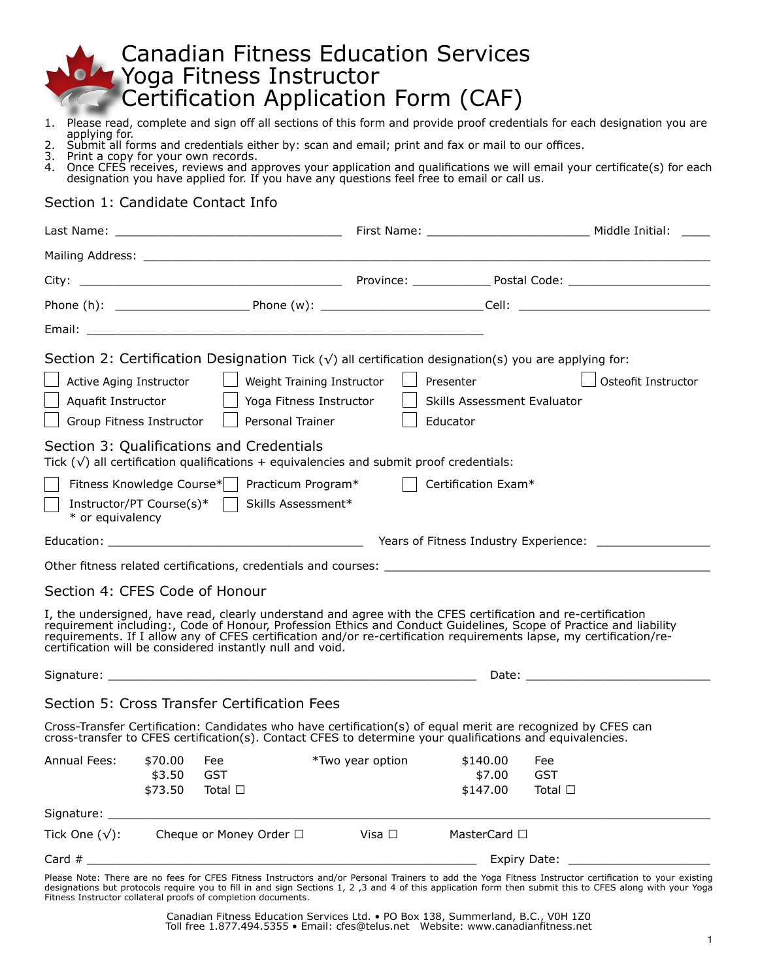# Canadian Fitness Education Services Yoga Fitness Instructor Certification Application Form (CAF)

- 1. Please read, complete and sign off all sections of this form and provide proof credentials for each designation you are applying for.
- 2. Submit all forms and credentials either by: scan and email; print and fax or mail to our offices.<br>3. Print a copy for your own records.
- 3. Print a copy for your own records.<br>4. Once CFES receives, reviews and a
- 4. Once CFES receives, reviews and approves your application and qualifications we will email your certificate(s) for each designation you have applied for. If you have any questions feel free to email or call us.

### Section 1: Candidate Contact Info

|                                                            |                                                        |                                                           |                            | Section 2: Certification Designation Tick ( $\sqrt{ }$ ) all certification designation(s) you are applying for: |                                                                                                                                                                                                                                                                                                                                                          |
|------------------------------------------------------------|--------------------------------------------------------|-----------------------------------------------------------|----------------------------|-----------------------------------------------------------------------------------------------------------------|----------------------------------------------------------------------------------------------------------------------------------------------------------------------------------------------------------------------------------------------------------------------------------------------------------------------------------------------------------|
| Active Aging Instructor                                    |                                                        |                                                           | Weight Training Instructor | Presenter                                                                                                       | Osteofit Instructor                                                                                                                                                                                                                                                                                                                                      |
| Aquafit Instructor                                         |                                                        |                                                           | Yoga Fitness Instructor    | Skills Assessment Evaluator                                                                                     |                                                                                                                                                                                                                                                                                                                                                          |
| Group Fitness Instructor                                   |                                                        | Personal Trainer                                          |                            | Educator                                                                                                        |                                                                                                                                                                                                                                                                                                                                                          |
|                                                            |                                                        | Section 3: Qualifications and Credentials                 |                            |                                                                                                                 |                                                                                                                                                                                                                                                                                                                                                          |
|                                                            |                                                        |                                                           |                            | Tick $(\sqrt{})$ all certification qualifications + equivalencies and submit proof credentials:                 |                                                                                                                                                                                                                                                                                                                                                          |
| Fitness Knowledge Course*                                  |                                                        | Practicum Program*                                        |                            | Certification Exam*                                                                                             |                                                                                                                                                                                                                                                                                                                                                          |
| Instructor/PT Course(s)* $\vert \vert$<br>* or equivalency |                                                        | Skills Assessment*                                        |                            |                                                                                                                 |                                                                                                                                                                                                                                                                                                                                                          |
|                                                            |                                                        |                                                           |                            |                                                                                                                 |                                                                                                                                                                                                                                                                                                                                                          |
|                                                            |                                                        |                                                           |                            |                                                                                                                 |                                                                                                                                                                                                                                                                                                                                                          |
| Section 4: CFES Code of Honour                             |                                                        |                                                           |                            |                                                                                                                 |                                                                                                                                                                                                                                                                                                                                                          |
|                                                            |                                                        | certification will be considered instantly null and void. |                            |                                                                                                                 | I, the undersigned, have read, clearly understand and agree with the CFES certification and re-certification<br>requirement including:, Code of Honour, Profession Ethics and Conduct Guidelines, Scope of Practice and liability<br>requirements. If I allow any of CFES certification and/or re-certification requirements lapse, my certification/re- |
|                                                            |                                                        |                                                           |                            |                                                                                                                 |                                                                                                                                                                                                                                                                                                                                                          |
|                                                            |                                                        | Section 5: Cross Transfer Certification Fees              |                            |                                                                                                                 |                                                                                                                                                                                                                                                                                                                                                          |
|                                                            |                                                        |                                                           |                            | cross-transfer to CFES certification(s). Contact CFES to determine your qualifications and equivalencies.       | Cross-Transfer Certification: Candidates who have certification(s) of equal merit are recognized by CFES can                                                                                                                                                                                                                                             |
| Annual Fees:                                               | \$70.00                                                | Fee                                                       | *Two year option           | \$140.00                                                                                                        | Fee                                                                                                                                                                                                                                                                                                                                                      |
|                                                            | \$3.50                                                 | <b>GST</b>                                                |                            | \$7.00                                                                                                          | <b>GST</b>                                                                                                                                                                                                                                                                                                                                               |
|                                                            | \$73.50                                                | Total $\Box$                                              |                            | \$147.00                                                                                                        | Total $\square$                                                                                                                                                                                                                                                                                                                                          |
|                                                            |                                                        |                                                           |                            |                                                                                                                 |                                                                                                                                                                                                                                                                                                                                                          |
| Tick One $(\sqrt{})$ :                                     | Cheque or Money Order □<br>MasterCard □<br>Visa $\Box$ |                                                           |                            |                                                                                                                 |                                                                                                                                                                                                                                                                                                                                                          |
|                                                            | Card $#$                                               |                                                           |                            |                                                                                                                 |                                                                                                                                                                                                                                                                                                                                                          |
|                                                            |                                                        |                                                           |                            |                                                                                                                 | Plazeo Note: There are no fees for CEES Fitness Instructors and/or Personal Trainers to add the Yoga Fitness Instructor certification to your evisting                                                                                                                                                                                                   |

Please Note: There are no fees for CFES Fitness Instructors and/or Personal Trainers to add the Yoga Fitness Instructor certification to your existing designations but protocols require you to fill in and sign Sections 1, 2 ,3 and 4 of this application form then submit this to CFES along with your Yoga Fitness Instructor collateral proofs of completion documents.

> Canadian Fitness Education Services Ltd. • PO Box 138, Summerland, B.C., V0H 1Z0 Toll free 1.877.494.5355 • Email: cfes@telus.net Website: www.canadianfitness.net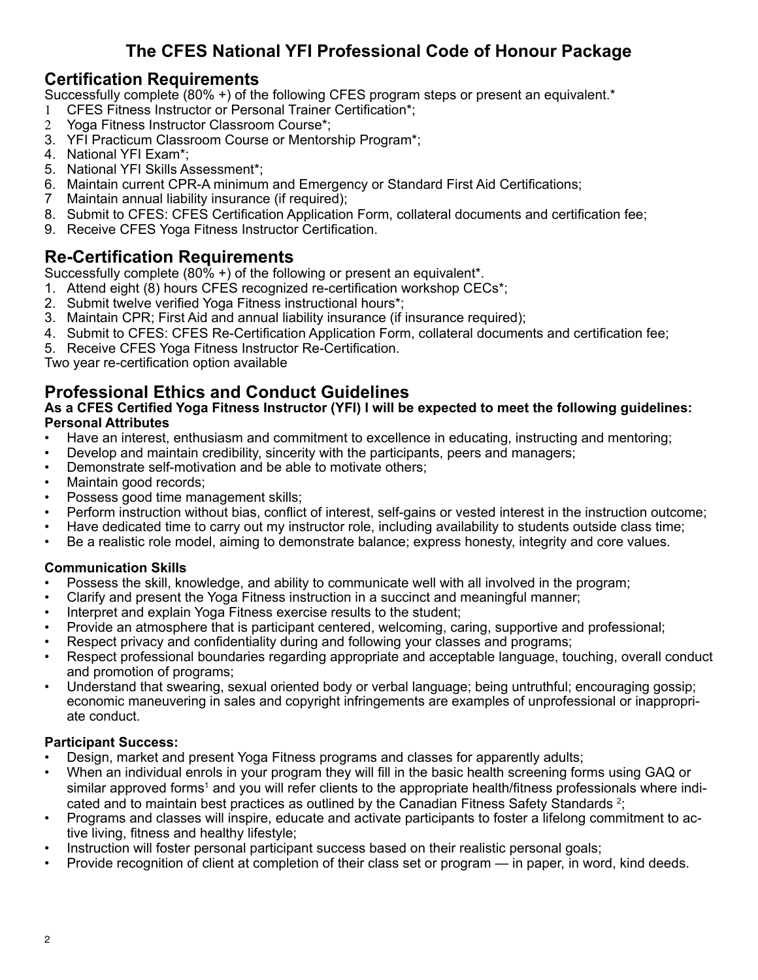# **The CFES National YFI Professional Code of Honour Package**

## **Certification Requirements**

Successfully complete (80% +) of the following CFES program steps or present an equivalent.\*

- 1 CFES Fitness Instructor or Personal Trainer Certification\*;
- 2 Yoga Fitness Instructor Classroom Course\*;
- 3. YFI Practicum Classroom Course or Mentorship Program\*;
- 4. National YFI Exam\*;
- 5. National YFI Skills Assessment\*;
- 6. Maintain current CPR-A minimum and Emergency or Standard First Aid Certifications;
- 7 Maintain annual liability insurance (if required);
- 8. Submit to CFES: CFES Certification Application Form, collateral documents and certification fee;
- 9. Receive CFES Yoga Fitness Instructor Certification.

## **Re-Certification Requirements**

Successfully complete (80% +) of the following or present an equivalent\*.

- 1. Attend eight (8) hours CFES recognized re-certification workshop CECs<sup>\*</sup>;
- 2. Submit twelve verified Yoga Fitness instructional hours\*;
- 3. Maintain CPR; First Aid and annual liability insurance (if insurance required);
- 4. Submit to CFES: CFES Re-Certification Application Form, collateral documents and certification fee;
- 5. Receive CFES Yoga Fitness Instructor Re-Certification.

Two year re-certification option available

# **Professional Ethics and Conduct Guidelines**

#### **As a CFES Certified Yoga Fitness Instructor (YFI) I will be expected to meet the following guidelines: Personal Attributes**

- Have an interest, enthusiasm and commitment to excellence in educating, instructing and mentoring;
- Develop and maintain credibility, sincerity with the participants, peers and managers;
- Demonstrate self-motivation and be able to motivate others;
- Maintain good records;
- Possess good time management skills;
- Perform instruction without bias, conflict of interest, self-gains or vested interest in the instruction outcome;
- Have dedicated time to carry out my instructor role, including availability to students outside class time;
- Be a realistic role model, aiming to demonstrate balance; express honesty, integrity and core values.

### **Communication Skills**

- Possess the skill, knowledge, and ability to communicate well with all involved in the program;
- Clarify and present the Yoga Fitness instruction in a succinct and meaningful manner;
- Interpret and explain Yoga Fitness exercise results to the student;
- Provide an atmosphere that is participant centered, welcoming, caring, supportive and professional;
- Respect privacy and confidentiality during and following your classes and programs;
- Respect professional boundaries regarding appropriate and acceptable language, touching, overall conduct and promotion of programs;
- Understand that swearing, sexual oriented body or verbal language; being untruthful; encouraging gossip; economic maneuvering in sales and copyright infringements are examples of unprofessional or inappropriate conduct.

### **Participant Success:**

- Design, market and present Yoga Fitness programs and classes for apparently adults;
- When an individual enrols in your program they will fill in the basic health screening forms using GAQ or similar approved forms<sup>1</sup> and you will refer clients to the appropriate health/fitness professionals where indicated and to maintain best practices as outlined by the Canadian Fitness Safety Standards  $2$ ;
- Programs and classes will inspire, educate and activate participants to foster a lifelong commitment to active living, fitness and healthy lifestyle;
- Instruction will foster personal participant success based on their realistic personal goals;
- Provide recognition of client at completion of their class set or program in paper, in word, kind deeds.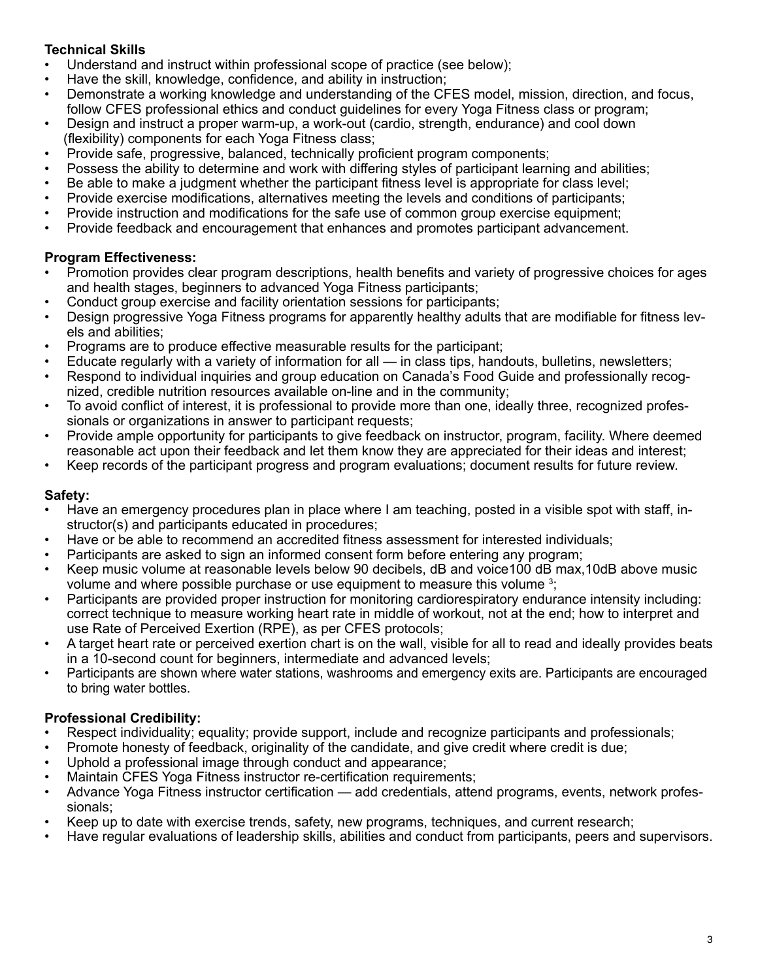### **Technical Skills**

- Understand and instruct within professional scope of practice (see below);
- Have the skill, knowledge, confidence, and ability in instruction;
- Demonstrate a working knowledge and understanding of the CFES model, mission, direction, and focus, follow CFES professional ethics and conduct guidelines for every Yoga Fitness class or program;
- Design and instruct a proper warm-up, a work-out (cardio, strength, endurance) and cool down (flexibility) components for each Yoga Fitness class;
- Provide safe, progressive, balanced, technically proficient program components;
- Possess the ability to determine and work with differing styles of participant learning and abilities;
- Be able to make a judgment whether the participant fitness level is appropriate for class level;
- Provide exercise modifications, alternatives meeting the levels and conditions of participants;
- Provide instruction and modifications for the safe use of common group exercise equipment;
- Provide feedback and encouragement that enhances and promotes participant advancement.

### **Program Effectiveness:**

- Promotion provides clear program descriptions, health benefits and variety of progressive choices for ages and health stages, beginners to advanced Yoga Fitness participants;
- Conduct group exercise and facility orientation sessions for participants;
- Design progressive Yoga Fitness programs for apparently healthy adults that are modifiable for fitness levels and abilities;
- Programs are to produce effective measurable results for the participant;
- Educate regularly with a variety of information for all in class tips, handouts, bulletins, newsletters;
- Respond to individual inquiries and group education on Canada's Food Guide and professionally recognized, credible nutrition resources available on-line and in the community;
- To avoid conflict of interest, it is professional to provide more than one, ideally three, recognized professionals or organizations in answer to participant requests;
- Provide ample opportunity for participants to give feedback on instructor, program, facility. Where deemed reasonable act upon their feedback and let them know they are appreciated for their ideas and interest;
- Keep records of the participant progress and program evaluations; document results for future review.

### **Safety:**

- Have an emergency procedures plan in place where I am teaching, posted in a visible spot with staff, instructor(s) and participants educated in procedures;
- Have or be able to recommend an accredited fitness assessment for interested individuals;
- Participants are asked to sign an informed consent form before entering any program;
- Keep music volume at reasonable levels below 90 decibels, dB and voice100 dB max,10dB above music volume and where possible purchase or use equipment to measure this volume <sup>3</sup>;
- Participants are provided proper instruction for monitoring cardiorespiratory endurance intensity including: correct technique to measure working heart rate in middle of workout, not at the end; how to interpret and use Rate of Perceived Exertion (RPE), as per CFES protocols;
- A target heart rate or perceived exertion chart is on the wall, visible for all to read and ideally provides beats in a 10-second count for beginners, intermediate and advanced levels;
- Participants are shown where water stations, washrooms and emergency exits are. Participants are encouraged to bring water bottles.

### **Professional Credibility:**

- Respect individuality; equality; provide support, include and recognize participants and professionals;
- Promote honesty of feedback, originality of the candidate, and give credit where credit is due;
- Uphold a professional image through conduct and appearance;
- Maintain CFES Yoga Fitness instructor re-certification requirements;
- Advance Yoga Fitness instructor certification add credentials, attend programs, events, network professionals;
- Keep up to date with exercise trends, safety, new programs, techniques, and current research;
- Have regular evaluations of leadership skills, abilities and conduct from participants, peers and supervisors.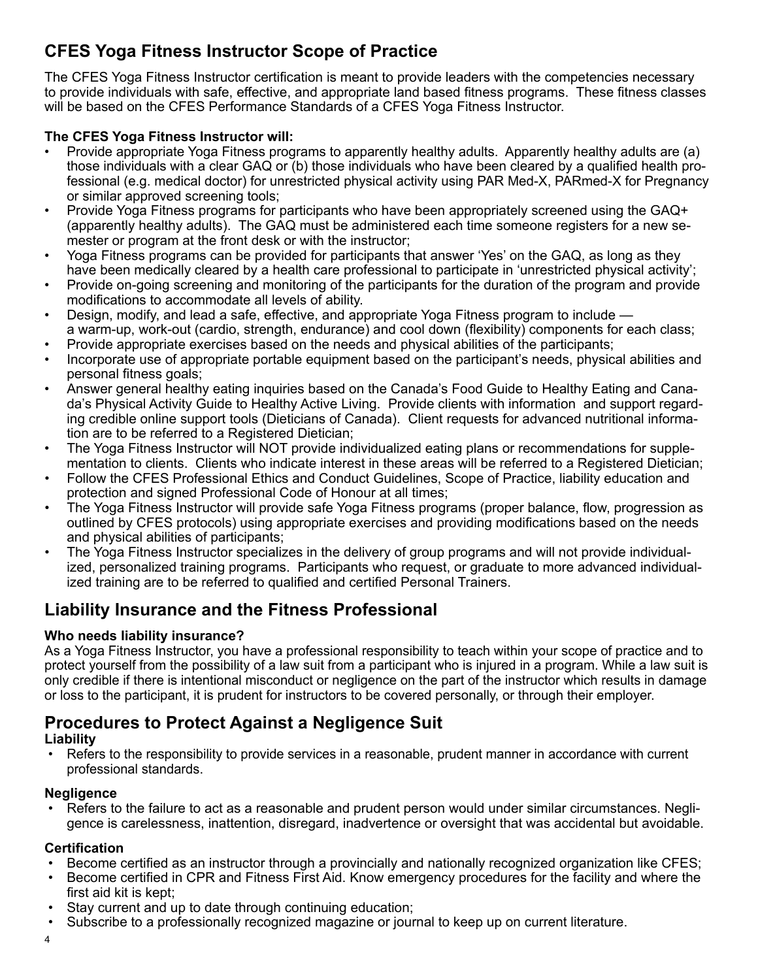# **CFES Yoga Fitness Instructor Scope of Practice**

The CFES Yoga Fitness Instructor certification is meant to provide leaders with the competencies necessary to provide individuals with safe, effective, and appropriate land based fitness programs. These fitness classes will be based on the CFES Performance Standards of a CFES Yoga Fitness Instructor.

### **The CFES Yoga Fitness Instructor will:**

- Provide appropriate Yoga Fitness programs to apparently healthy adults. Apparently healthy adults are (a) those individuals with a clear GAQ or (b) those individuals who have been cleared by a qualified health professional (e.g. medical doctor) for unrestricted physical activity using PAR Med-X, PARmed-X for Pregnancy or similar approved screening tools;
- Provide Yoga Fitness programs for participants who have been appropriately screened using the GAQ+ (apparently healthy adults). The GAQ must be administered each time someone registers for a new semester or program at the front desk or with the instructor;
- Yoga Fitness programs can be provided for participants that answer 'Yes' on the GAQ, as long as they have been medically cleared by a health care professional to participate in 'unrestricted physical activity';
- Provide on-going screening and monitoring of the participants for the duration of the program and provide modifications to accommodate all levels of ability.
- Design, modify, and lead a safe, effective, and appropriate Yoga Fitness program to include a warm-up, work-out (cardio, strength, endurance) and cool down (flexibility) components for each class;
- Provide appropriate exercises based on the needs and physical abilities of the participants;
- Incorporate use of appropriate portable equipment based on the participant's needs, physical abilities and personal fitness goals;
- Answer general healthy eating inquiries based on the Canada's Food Guide to Healthy Eating and Canada's Physical Activity Guide to Healthy Active Living. Provide clients with information and support regarding credible online support tools (Dieticians of Canada). Client requests for advanced nutritional information are to be referred to a Registered Dietician;
- The Yoga Fitness Instructor will NOT provide individualized eating plans or recommendations for supplementation to clients. Clients who indicate interest in these areas will be referred to a Registered Dietician;
- Follow the CFES Professional Ethics and Conduct Guidelines, Scope of Practice, liability education and protection and signed Professional Code of Honour at all times;
- The Yoga Fitness Instructor will provide safe Yoga Fitness programs (proper balance, flow, progression as outlined by CFES protocols) using appropriate exercises and providing modifications based on the needs and physical abilities of participants;
- The Yoga Fitness Instructor specializes in the delivery of group programs and will not provide individualized, personalized training programs. Participants who request, or graduate to more advanced individualized training are to be referred to qualified and certified Personal Trainers.

# **Liability Insurance and the Fitness Professional**

### **Who needs liability insurance?**

As a Yoga Fitness Instructor, you have a professional responsibility to teach within your scope of practice and to protect yourself from the possibility of a law suit from a participant who is injured in a program. While a law suit is only credible if there is intentional misconduct or negligence on the part of the instructor which results in damage or loss to the participant, it is prudent for instructors to be covered personally, or through their employer.

# **Procedures to Protect Against a Negligence Suit**

### **Liability**

Refers to the responsibility to provide services in a reasonable, prudent manner in accordance with current professional standards.

### **Negligence**

Refers to the failure to act as a reasonable and prudent person would under similar circumstances. Negligence is carelessness, inattention, disregard, inadvertence or oversight that was accidental but avoidable.

### **Certification**

- Become certified as an instructor through a provincially and nationally recognized organization like CFES;
- Become certified in CPR and Fitness First Aid. Know emergency procedures for the facility and where the first aid kit is kept;
- Stay current and up to date through continuing education;
- Subscribe to a professionally recognized magazine or journal to keep up on current literature.